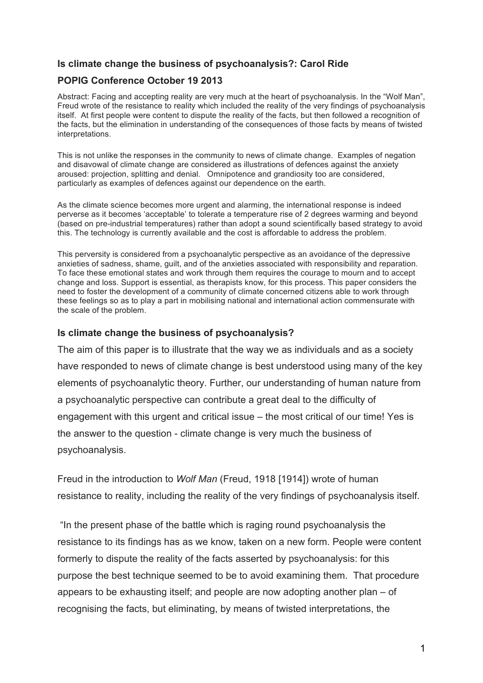## **Is climate change the business of psychoanalysis?: Carol Ride**

## **POPIG Conference October 19 2013**

Abstract: Facing and accepting reality are very much at the heart of psychoanalysis. In the "Wolf Man", Freud wrote of the resistance to reality which included the reality of the very findings of psychoanalysis itself. At first people were content to dispute the reality of the facts, but then followed a recognition of the facts, but the elimination in understanding of the consequences of those facts by means of twisted interpretations.

This is not unlike the responses in the community to news of climate change. Examples of negation and disavowal of climate change are considered as illustrations of defences against the anxiety aroused: projection, splitting and denial. Omnipotence and grandiosity too are considered, particularly as examples of defences against our dependence on the earth.

As the climate science becomes more urgent and alarming, the international response is indeed perverse as it becomes 'acceptable' to tolerate a temperature rise of 2 degrees warming and beyond (based on pre-industrial temperatures) rather than adopt a sound scientifically based strategy to avoid this. The technology is currently available and the cost is affordable to address the problem.

This perversity is considered from a psychoanalytic perspective as an avoidance of the depressive anxieties of sadness, shame, guilt, and of the anxieties associated with responsibility and reparation. To face these emotional states and work through them requires the courage to mourn and to accept change and loss. Support is essential, as therapists know, for this process. This paper considers the need to foster the development of a community of climate concerned citizens able to work through these feelings so as to play a part in mobilising national and international action commensurate with the scale of the problem.

## **Is climate change the business of psychoanalysis?**

The aim of this paper is to illustrate that the way we as individuals and as a society have responded to news of climate change is best understood using many of the key elements of psychoanalytic theory. Further, our understanding of human nature from a psychoanalytic perspective can contribute a great deal to the difficulty of engagement with this urgent and critical issue – the most critical of our time! Yes is the answer to the question - climate change is very much the business of psychoanalysis.

Freud in the introduction to *Wolf Man* (Freud, 1918 [1914]) wrote of human resistance to reality, including the reality of the very findings of psychoanalysis itself.

"In the present phase of the battle which is raging round psychoanalysis the resistance to its findings has as we know, taken on a new form. People were content formerly to dispute the reality of the facts asserted by psychoanalysis: for this purpose the best technique seemed to be to avoid examining them. That procedure appears to be exhausting itself; and people are now adopting another plan – of recognising the facts, but eliminating, by means of twisted interpretations, the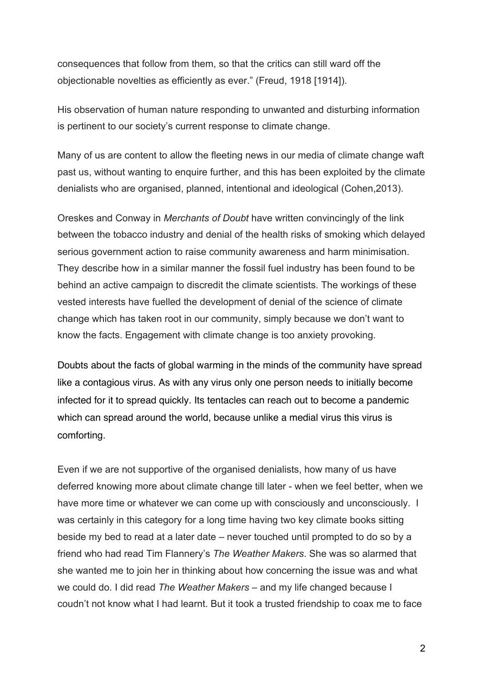consequences that follow from them, so that the critics can still ward off the objectionable novelties as efficiently as ever." (Freud, 1918 [1914]).

His observation of human nature responding to unwanted and disturbing information is pertinent to our society's current response to climate change.

Many of us are content to allow the fleeting news in our media of climate change waft past us, without wanting to enquire further, and this has been exploited by the climate denialists who are organised, planned, intentional and ideological (Cohen,2013).

Oreskes and Conway in *Merchants of Doubt* have written convincingly of the link between the tobacco industry and denial of the health risks of smoking which delayed serious government action to raise community awareness and harm minimisation. They describe how in a similar manner the fossil fuel industry has been found to be behind an active campaign to discredit the climate scientists. The workings of these vested interests have fuelled the development of denial of the science of climate change which has taken root in our community, simply because we don't want to know the facts. Engagement with climate change is too anxiety provoking.

Doubts about the facts of global warming in the minds of the community have spread like a contagious virus. As with any virus only one person needs to initially become infected for it to spread quickly. Its tentacles can reach out to become a pandemic which can spread around the world, because unlike a medial virus this virus is comforting.

Even if we are not supportive of the organised denialists, how many of us have deferred knowing more about climate change till later - when we feel better, when we have more time or whatever we can come up with consciously and unconsciously. I was certainly in this category for a long time having two key climate books sitting beside my bed to read at a later date – never touched until prompted to do so by a friend who had read Tim Flannery's *The Weather Makers*. She was so alarmed that she wanted me to join her in thinking about how concerning the issue was and what we could do. I did read *The Weather Makers* – and my life changed because I coudn't not know what I had learnt. But it took a trusted friendship to coax me to face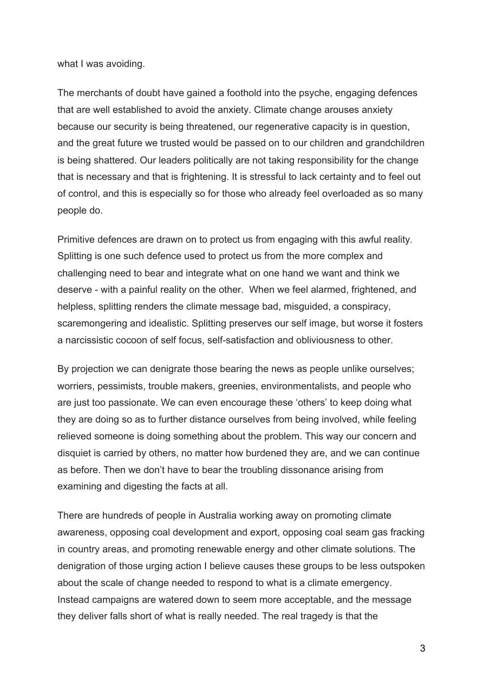what I was avoiding.

The merchants of doubt have gained a foothold into the psyche, engaging defences that are well established to avoid the anxiety. Climate change arouses anxiety because our security is being threatened, our regenerative capacity is in question, and the great future we trusted would be passed on to our children and grandchildren is being shattered. Our leaders politically are not taking responsibility for the change that is necessary and that is frightening. It is stressful to lack certainty and to feel out of control, and this is especially so for those who already feel overloaded as so many people do.

Primitive defences are drawn on to protect us from engaging with this awful reality. Splitting is one such defence used to protect us from the more complex and challenging need to bear and integrate what on one hand we want and think we deserve - with a painful reality on the other. When we feel alarmed, frightened, and helpless, splitting renders the climate message bad, misguided, a conspiracy, scaremongering and idealistic. Splitting preserves our self image, but worse it fosters a narcissistic cocoon of self focus, self-satisfaction and obliviousness to other.

By projection we can denigrate those bearing the news as people unlike ourselves; worriers, pessimists, trouble makers, greenies, environmentalists, and people who are just too passionate. We can even encourage these 'others' to keep doing what they are doing so as to further distance ourselves from being involved, while feeling relieved someone is doing something about the problem. This way our concern and disquiet is carried by others, no matter how burdened they are, and we can continue as before. Then we don't have to bear the troubling dissonance arising from examining and digesting the facts at all.

There are hundreds of people in Australia working away on promoting climate awareness, opposing coal development and export, opposing coal seam gas fracking in country areas, and promoting renewable energy and other climate solutions. The denigration of those urging action I believe causes these groups to be less outspoken about the scale of change needed to respond to what is a climate emergency. Instead campaigns are watered down to seem more acceptable, and the message they deliver falls short of what is really needed. The real tragedy is that the

3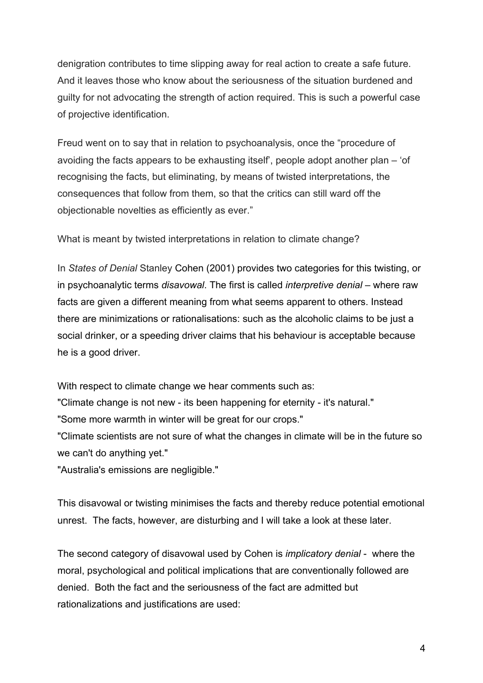denigration contributes to time slipping away for real action to create a safe future. And it leaves those who know about the seriousness of the situation burdened and guilty for not advocating the strength of action required. This is such a powerful case of projective identification.

Freud went on to say that in relation to psychoanalysis, once the "procedure of avoiding the facts appears to be exhausting itself', people adopt another plan – 'of recognising the facts, but eliminating, by means of twisted interpretations, the consequences that follow from them, so that the critics can still ward off the objectionable novelties as efficiently as ever."

What is meant by twisted interpretations in relation to climate change?

In *States of Denial* Stanley Cohen (2001) provides two categories for this twisting, or in psychoanalytic terms *disavowal*. The first is called *interpretive denial* – where raw facts are given a different meaning from what seems apparent to others. Instead there are minimizations or rationalisations: such as the alcoholic claims to be just a social drinker, or a speeding driver claims that his behaviour is acceptable because he is a good driver.

With respect to climate change we hear comments such as:

"Climate change is not new - its been happening for eternity - it's natural."

"Some more warmth in winter will be great for our crops."

"Climate scientists are not sure of what the changes in climate will be in the future so we can't do anything yet."

"Australia's emissions are negligible."

This disavowal or twisting minimises the facts and thereby reduce potential emotional unrest. The facts, however, are disturbing and I will take a look at these later.

The second category of disavowal used by Cohen is *implicatory denial* - where the moral, psychological and political implications that are conventionally followed are denied. Both the fact and the seriousness of the fact are admitted but rationalizations and justifications are used: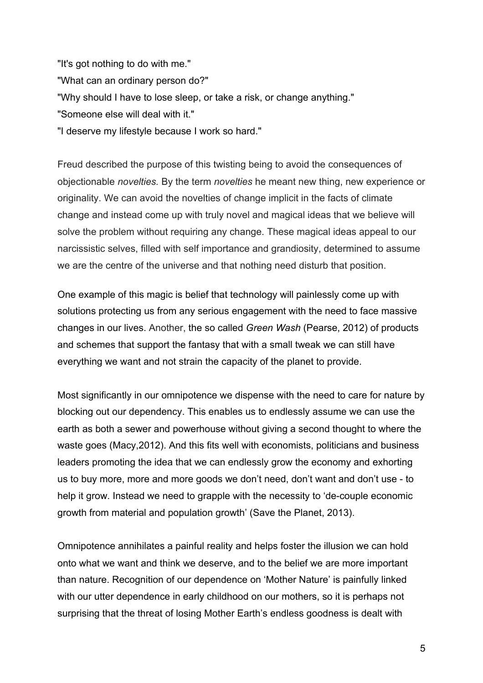"It's got nothing to do with me." "What can an ordinary person do?" "Why should I have to lose sleep, or take a risk, or change anything." "Someone else will deal with it." "I deserve my lifestyle because I work so hard."

Freud described the purpose of this twisting being to avoid the consequences of objectionable *novelties.* By the term *novelties* he meant new thing, new experience or originality. We can avoid the novelties of change implicit in the facts of climate change and instead come up with truly novel and magical ideas that we believe will solve the problem without requiring any change. These magical ideas appeal to our narcissistic selves, filled with self importance and grandiosity, determined to assume we are the centre of the universe and that nothing need disturb that position.

One example of this magic is belief that technology will painlessly come up with solutions protecting us from any serious engagement with the need to face massive changes in our lives. Another, the so called *Green Wash* (Pearse, 2012) of products and schemes that support the fantasy that with a small tweak we can still have everything we want and not strain the capacity of the planet to provide.

Most significantly in our omnipotence we dispense with the need to care for nature by blocking out our dependency. This enables us to endlessly assume we can use the earth as both a sewer and powerhouse without giving a second thought to where the waste goes (Macy,2012). And this fits well with economists, politicians and business leaders promoting the idea that we can endlessly grow the economy and exhorting us to buy more, more and more goods we don't need, don't want and don't use - to help it grow. Instead we need to grapple with the necessity to 'de-couple economic growth from material and population growth' (Save the Planet, 2013).

Omnipotence annihilates a painful reality and helps foster the illusion we can hold onto what we want and think we deserve, and to the belief we are more important than nature. Recognition of our dependence on 'Mother Nature' is painfully linked with our utter dependence in early childhood on our mothers, so it is perhaps not surprising that the threat of losing Mother Earth's endless goodness is dealt with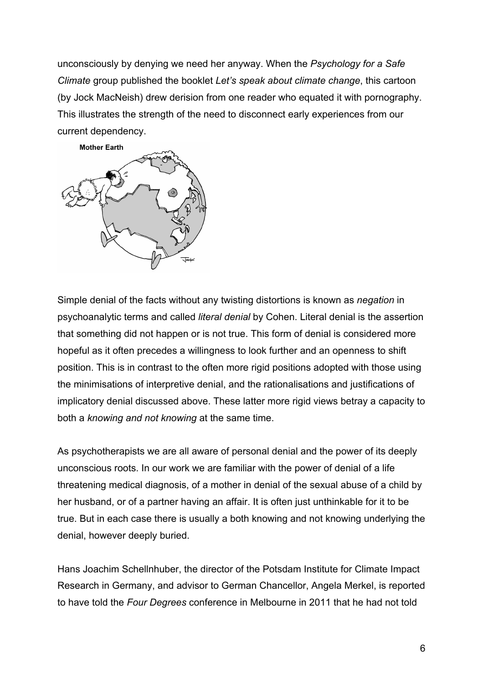unconsciously by denying we need her anyway. When the *Psychology for a Safe Climate* group published the booklet *Let's speak about climate change*, this cartoon (by Jock MacNeish) drew derision from one reader who equated it with pornography. This illustrates the strength of the need to disconnect early experiences from our current dependency.



Simple denial of the facts without any twisting distortions is known as *negation* in psychoanalytic terms and called *literal denial* by Cohen. Literal denial is the assertion that something did not happen or is not true. This form of denial is considered more hopeful as it often precedes a willingness to look further and an openness to shift position. This is in contrast to the often more rigid positions adopted with those using the minimisations of interpretive denial, and the rationalisations and justifications of implicatory denial discussed above. These latter more rigid views betray a capacity to both a *knowing and not knowing* at the same time.

As psychotherapists we are all aware of personal denial and the power of its deeply unconscious roots. In our work we are familiar with the power of denial of a life threatening medical diagnosis, of a mother in denial of the sexual abuse of a child by her husband, or of a partner having an affair. It is often just unthinkable for it to be true. But in each case there is usually a both knowing and not knowing underlying the denial, however deeply buried.

Hans Joachim Schellnhuber, the director of the Potsdam Institute for Climate Impact Research in Germany, and advisor to German Chancellor, Angela Merkel, is reported to have told the *Four Degrees* conference in Melbourne in 2011 that he had not told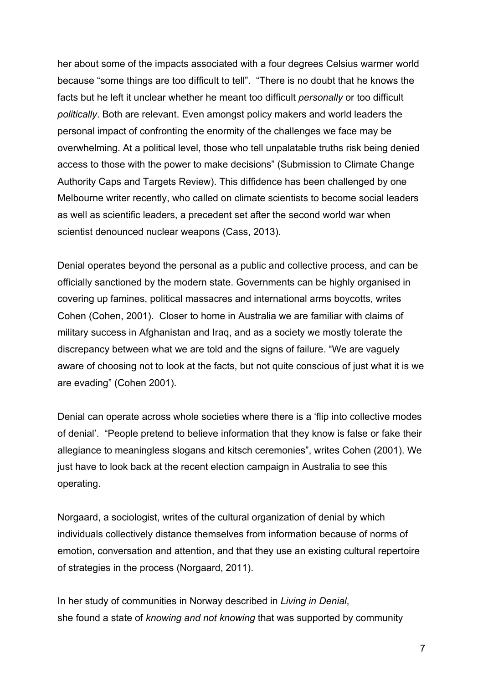her about some of the impacts associated with a four degrees Celsius warmer world because "some things are too difficult to tell". "There is no doubt that he knows the facts but he left it unclear whether he meant too difficult *personally* or too difficult *politically*. Both are relevant. Even amongst policy makers and world leaders the personal impact of confronting the enormity of the challenges we face may be overwhelming. At a political level, those who tell unpalatable truths risk being denied access to those with the power to make decisions" (Submission to Climate Change Authority Caps and Targets Review). This diffidence has been challenged by one Melbourne writer recently, who called on climate scientists to become social leaders as well as scientific leaders, a precedent set after the second world war when scientist denounced nuclear weapons (Cass, 2013).

Denial operates beyond the personal as a public and collective process, and can be officially sanctioned by the modern state. Governments can be highly organised in covering up famines, political massacres and international arms boycotts, writes Cohen (Cohen, 2001). Closer to home in Australia we are familiar with claims of military success in Afghanistan and Iraq, and as a society we mostly tolerate the discrepancy between what we are told and the signs of failure. "We are vaguely aware of choosing not to look at the facts, but not quite conscious of just what it is we are evading" (Cohen 2001).

Denial can operate across whole societies where there is a 'flip into collective modes of denial'. "People pretend to believe information that they know is false or fake their allegiance to meaningless slogans and kitsch ceremonies", writes Cohen (2001). We just have to look back at the recent election campaign in Australia to see this operating.

Norgaard, a sociologist, writes of the cultural organization of denial by which individuals collectively distance themselves from information because of norms of emotion, conversation and attention, and that they use an existing cultural repertoire of strategies in the process (Norgaard, 2011).

In her study of communities in Norway described in *Living in Denial*, she found a state of *knowing and not knowing* that was supported by community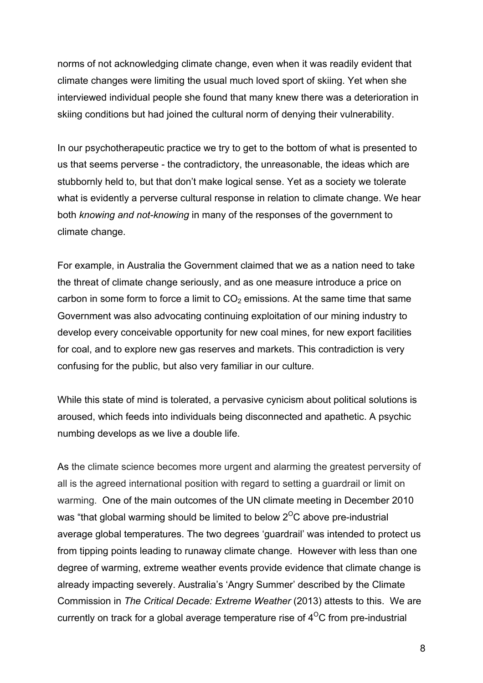norms of not acknowledging climate change, even when it was readily evident that climate changes were limiting the usual much loved sport of skiing. Yet when she interviewed individual people she found that many knew there was a deterioration in skiing conditions but had joined the cultural norm of denying their vulnerability.

In our psychotherapeutic practice we try to get to the bottom of what is presented to us that seems perverse - the contradictory, the unreasonable, the ideas which are stubbornly held to, but that don't make logical sense. Yet as a society we tolerate what is evidently a perverse cultural response in relation to climate change. We hear both *knowing and not-knowing* in many of the responses of the government to climate change.

For example, in Australia the Government claimed that we as a nation need to take the threat of climate change seriously, and as one measure introduce a price on carbon in some form to force a limit to  $CO<sub>2</sub>$  emissions. At the same time that same Government was also advocating continuing exploitation of our mining industry to develop every conceivable opportunity for new coal mines, for new export facilities for coal, and to explore new gas reserves and markets. This contradiction is very confusing for the public, but also very familiar in our culture.

While this state of mind is tolerated, a pervasive cynicism about political solutions is aroused, which feeds into individuals being disconnected and apathetic. A psychic numbing develops as we live a double life.

As the climate science becomes more urgent and alarming the greatest perversity of all is the agreed international position with regard to setting a guardrail or limit on warming. One of the main outcomes of the UN climate meeting in December 2010 was "that global warming should be limited to below  $2^{\circ}$ C above pre-industrial average global temperatures. The two degrees 'guardrail' was intended to protect us from tipping points leading to runaway climate change. However with less than one degree of warming, extreme weather events provide evidence that climate change is already impacting severely. Australia's 'Angry Summer' described by the Climate Commission in *The Critical Decade: Extreme Weather* (2013) attests to this. We are currently on track for a global average temperature rise of  $4^{\circ}$ C from pre-industrial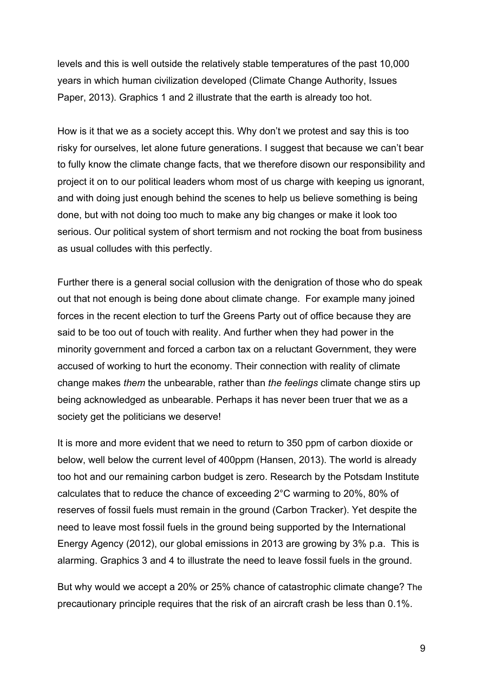levels and this is well outside the relatively stable temperatures of the past 10,000 years in which human civilization developed (Climate Change Authority, Issues Paper, 2013). Graphics 1 and 2 illustrate that the earth is already too hot.

How is it that we as a society accept this. Why don't we protest and say this is too risky for ourselves, let alone future generations. I suggest that because we can't bear to fully know the climate change facts, that we therefore disown our responsibility and project it on to our political leaders whom most of us charge with keeping us ignorant, and with doing just enough behind the scenes to help us believe something is being done, but with not doing too much to make any big changes or make it look too serious. Our political system of short termism and not rocking the boat from business as usual colludes with this perfectly.

Further there is a general social collusion with the denigration of those who do speak out that not enough is being done about climate change. For example many joined forces in the recent election to turf the Greens Party out of office because they are said to be too out of touch with reality. And further when they had power in the minority government and forced a carbon tax on a reluctant Government, they were accused of working to hurt the economy. Their connection with reality of climate change makes *them* the unbearable, rather than *the feelings* climate change stirs up being acknowledged as unbearable. Perhaps it has never been truer that we as a society get the politicians we deserve!

It is more and more evident that we need to return to 350 ppm of carbon dioxide or below, well below the current level of 400ppm (Hansen, 2013). The world is already too hot and our remaining carbon budget is zero. Research by the Potsdam Institute calculates that to reduce the chance of exceeding 2°C warming to 20%, 80% of reserves of fossil fuels must remain in the ground (Carbon Tracker). Yet despite the need to leave most fossil fuels in the ground being supported by the International Energy Agency (2012), our global emissions in 2013 are growing by 3% p.a. This is alarming. Graphics 3 and 4 to illustrate the need to leave fossil fuels in the ground.

But why would we accept a 20% or 25% chance of catastrophic climate change? The precautionary principle requires that the risk of an aircraft crash be less than 0.1%.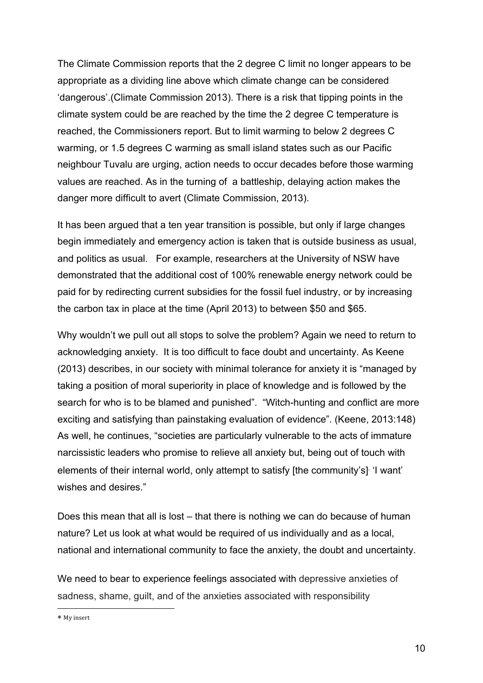The Climate Commission reports that the 2 degree C limit no longer appears to be appropriate as a dividing line above which climate change can be considered 'dangerous'.(Climate Commission 2013). There is a risk that tipping points in the climate system could be are reached by the time the 2 degree C temperature is reached, the Commissioners report. But to limit warming to below 2 degrees C warming, or 1.5 degrees C warming as small island states such as our Pacific neighbour Tuvalu are urging, action needs to occur decades before those warming values are reached. As in the turning of a battleship, delaying action makes the danger more difficult to avert (Climate Commission, 2013).

It has been argued that a ten year transition is possible, but only if large changes begin immediately and emergency action is taken that is outside business as usual, and politics as usual. For example, researchers at the University of NSW have demonstrated that the additional cost of 100% renewable energy network could be paid for by redirecting current subsidies for the fossil fuel industry, or by increasing the carbon tax in place at the time (April 2013) to between \$50 and \$65.

Why wouldn't we pull out all stops to solve the problem? Again we need to return to acknowledging anxiety. It is too difficult to face doubt and uncertainty. As Keene (2013) describes, in our society with minimal tolerance for anxiety it is "managed by taking a position of moral superiority in place of knowledge and is followed by the search for who is to be blamed and punished". "Witch-hunting and conflict are more exciting and satisfying than painstaking evaluation of evidence". (Keene, 2013:148) As well, he continues, "societies are particularly vulnerable to the acts of immature narcissistic leaders who promise to relieve all anxiety but, being out of touch with elements of their internal world, only attempt to satisfy [the community's]<sup>∗</sup> 'I want' wishes and desires."

Does this mean that all is lost – that there is nothing we can do because of human nature? Let us look at what would be required of us individually and as a local, national and international community to face the anxiety, the doubt and uncertainty.

We need to bear to experience feelings associated with depressive anxieties of sadness, shame, guilt, and of the anxieties associated with responsibility

\* My insert

l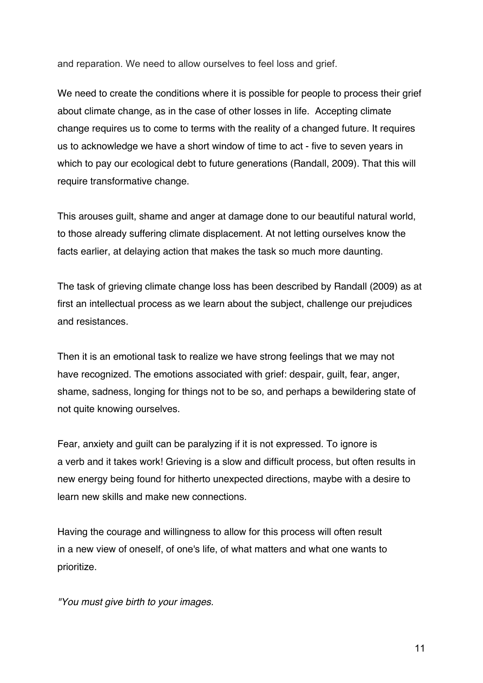and reparation. We need to allow ourselves to feel loss and grief.

We need to create the conditions where it is possible for people to process their grief about climate change, as in the case of other losses in life. Accepting climate change requires us to come to terms with the reality of a changed future. It requires us to acknowledge we have a short window of time to act - five to seven years in which to pay our ecological debt to future generations (Randall, 2009). That this will require transformative change.

This arouses guilt, shame and anger at damage done to our beautiful natural world, to those already suffering climate displacement. At not letting ourselves know the facts earlier, at delaying action that makes the task so much more daunting.

The task of grieving climate change loss has been described by Randall (2009) as at first an intellectual process as we learn about the subject, challenge our prejudices and resistances.

Then it is an emotional task to realize we have strong feelings that we may not have recognized. The emotions associated with grief: despair, guilt, fear, anger, shame, sadness, longing for things not to be so, and perhaps a bewildering state of not quite knowing ourselves.

Fear, anxiety and guilt can be paralyzing if it is not expressed. To ignore is a verb and it takes work! Grieving is a slow and difficult process, but often results in new energy being found for hitherto unexpected directions, maybe with a desire to learn new skills and make new connections.

Having the courage and willingness to allow for this process will often result in a new view of oneself, of one's life, of what matters and what one wants to prioritize.

*"You must give birth to your images.*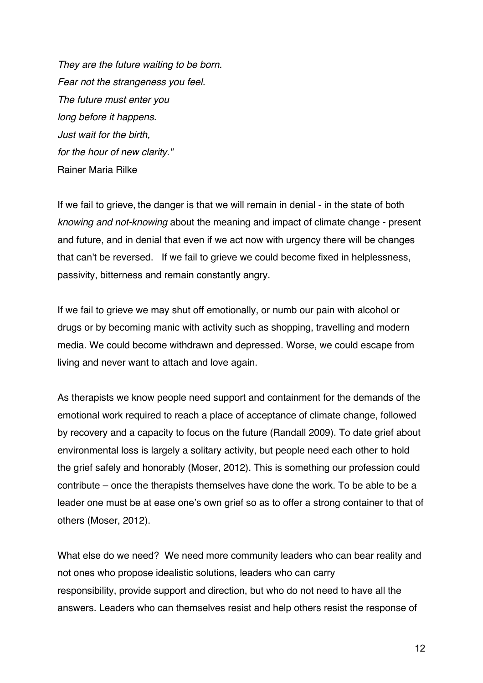*They are the future waiting to be born. Fear not the strangeness you feel. The future must enter you long before it happens. Just wait for the birth, for the hour of new clarity."* Rainer Maria Rilke

If we fail to grieve, the danger is that we will remain in denial - in the state of both *knowing and not-knowing* about the meaning and impact of climate change - present and future, and in denial that even if we act now with urgency there will be changes that can't be reversed. If we fail to grieve we could become fixed in helplessness, passivity, bitterness and remain constantly angry.

If we fail to grieve we may shut off emotionally, or numb our pain with alcohol or drugs or by becoming manic with activity such as shopping, travelling and modern media. We could become withdrawn and depressed. Worse, we could escape from living and never want to attach and love again.

As therapists we know people need support and containment for the demands of the emotional work required to reach a place of acceptance of climate change, followed by recovery and a capacity to focus on the future (Randall 2009). To date grief about environmental loss is largely a solitary activity, but people need each other to hold the grief safely and honorably (Moser, 2012). This is something our profession could contribute – once the therapists themselves have done the work. To be able to be a leader one must be at ease one's own grief so as to offer a strong container to that of others (Moser, 2012).

What else do we need? We need more community leaders who can bear reality and not ones who propose idealistic solutions, leaders who can carry responsibility, provide support and direction, but who do not need to have all the answers. Leaders who can themselves resist and help others resist the response of

12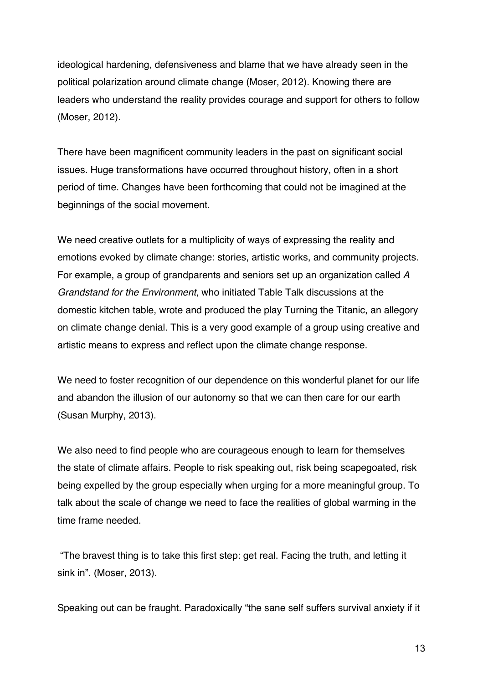ideological hardening, defensiveness and blame that we have already seen in the political polarization around climate change (Moser, 2012). Knowing there are leaders who understand the reality provides courage and support for others to follow (Moser, 2012).

There have been magnificent community leaders in the past on significant social issues. Huge transformations have occurred throughout history, often in a short period of time. Changes have been forthcoming that could not be imagined at the beginnings of the social movement.

We need creative outlets for a multiplicity of ways of expressing the reality and emotions evoked by climate change: stories, artistic works, and community projects. For example, a group of grandparents and seniors set up an organization called *A Grandstand for the Environment*, who initiated Table Talk discussions at the domestic kitchen table, wrote and produced the play Turning the Titanic, an allegory on climate change denial. This is a very good example of a group using creative and artistic means to express and reflect upon the climate change response.

We need to foster recognition of our dependence on this wonderful planet for our life and abandon the illusion of our autonomy so that we can then care for our earth (Susan Murphy, 2013).

We also need to find people who are courageous enough to learn for themselves the state of climate affairs. People to risk speaking out, risk being scapegoated, risk being expelled by the group especially when urging for a more meaningful group. To talk about the scale of change we need to face the realities of global warming in the time frame needed.

"The bravest thing is to take this first step: get real. Facing the truth, and letting it sink in". (Moser, 2013).

Speaking out can be fraught. Paradoxically "the sane self suffers survival anxiety if it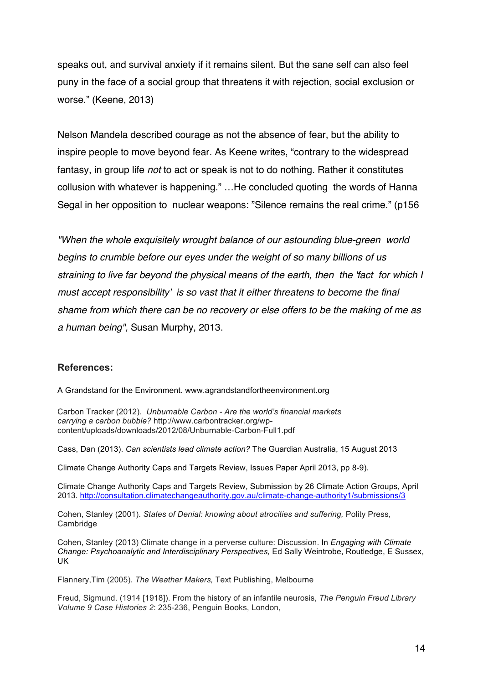speaks out, and survival anxiety if it remains silent. But the sane self can also feel puny in the face of a social group that threatens it with rejection, social exclusion or worse." (Keene, 2013)

Nelson Mandela described courage as not the absence of fear, but the ability to inspire people to move beyond fear. As Keene writes, "contrary to the widespread fantasy, in group life *not* to act or speak is not to do nothing. Rather it constitutes collusion with whatever is happening." …He concluded quoting the words of Hanna Segal in her opposition to nuclear weapons: "Silence remains the real crime." (p156

*"When the whole exquisitely wrought balance of our astounding blue-green world begins to crumble before our eyes under the weight of so many billions of us straining to live far beyond the physical means of the earth, then the 'fact for which I must accept responsibility' is so vast that it either threatens to become the final shame from which there can be no recovery or else offers to be the making of me as a human being",* Susan Murphy, 2013.

## **References:**

A Grandstand for the Environment. www.agrandstandfortheenvironment.org

Carbon Tracker (2012). *Unburnable Carbon - Are the world's financial markets carrying a carbon bubble?* http://www.carbontracker.org/wpcontent/uploads/downloads/2012/08/Unburnable-Carbon-Full1.pdf

Cass, Dan (2013). *Can scientists lead climate action?* The Guardian Australia, 15 August 2013

Climate Change Authority Caps and Targets Review, Issues Paper April 2013, pp 8-9).

Climate Change Authority Caps and Targets Review, Submission by 26 Climate Action Groups, April 2013. http://consultation.climatechangeauthority.gov.au/climate-change-authority1/submissions/3

Cohen, Stanley (2001). *States of Denial: knowing about atrocities and suffering,* Polity Press, Cambridge

Cohen, Stanley (2013) Climate change in a perverse culture: Discussion. In *Engaging with Climate Change: Psychoanalytic and Interdisciplinary Perspectives,* Ed Sally Weintrobe, Routledge, E Sussex, UK

Flannery,Tim (2005). *The Weather Makers,* Text Publishing, Melbourne

Freud, Sigmund. (1914 [1918]). From the history of an infantile neurosis, *The Penguin Freud Library Volume 9 Case Histories 2*: 235-236, Penguin Books, London,